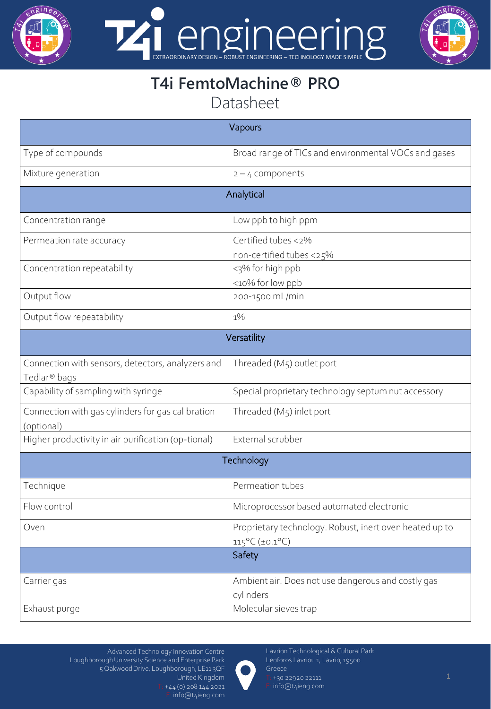

EXTRAORDINARY DESIGN – ROBUST ENGINEERING – TECHNOLOGY MADE SIMPLE



## **T4i FemtoMachine® PRO** Datasheet

| Vapours                                                                       |                                                                                              |  |
|-------------------------------------------------------------------------------|----------------------------------------------------------------------------------------------|--|
| Type of compounds                                                             | Broad range of TICs and environmental VOCs and gases                                         |  |
| Mixture generation                                                            | $2 - 4$ components                                                                           |  |
| Analytical                                                                    |                                                                                              |  |
| Concentration range                                                           | Low ppb to high ppm                                                                          |  |
| Permeation rate accuracy                                                      | Certified tubes <2%<br>non-certified tubes <25%                                              |  |
| Concentration repeatability                                                   | <3% for high ppb<br><10% for low ppb                                                         |  |
| Output flow                                                                   | 200-1500 mL/min                                                                              |  |
| Output flow repeatability                                                     | $1\%$                                                                                        |  |
| Versatility                                                                   |                                                                                              |  |
| Connection with sensors, detectors, analyzers and<br>Tedlar <sup>®</sup> bags | Threaded (M5) outlet port                                                                    |  |
| Capability of sampling with syringe                                           | Special proprietary technology septum nut accessory                                          |  |
| Connection with gas cylinders for gas calibration<br>(optional)               | Threaded (M5) inlet port                                                                     |  |
| Higher productivity in air purification (op-tional)                           | External scrubber                                                                            |  |
| Technology                                                                    |                                                                                              |  |
| Technique                                                                     | Permeation tubes                                                                             |  |
| Flow control                                                                  | Microprocessor based automated electronic                                                    |  |
| Oven                                                                          | Proprietary technology. Robust, inert oven heated up to<br>$115^{\circ}C (\pm 0.1^{\circ}C)$ |  |
|                                                                               | Safety                                                                                       |  |
| Carrier gas                                                                   | Ambient air. Does not use dangerous and costly gas<br>cylinders                              |  |
| Exhaust purge                                                                 | Molecular sieves trap                                                                        |  |



Lavrion Technological & Cultural Park Leoforos Lavriou 1, Lavrio, 19500 Greece Τ: +30 22920 22111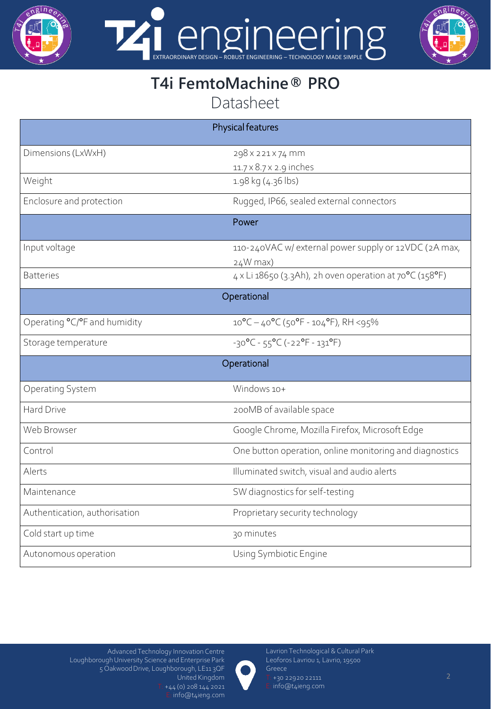

EXTRAORDINARY DESIGN – ROBUST ENGINEERING – TECHNOLOGY MADE SIMPLE  $\overline{\nu}$ 



## **T4i FemtoMachine® PRO** Datasheet

| Physical features             |                                                            |  |
|-------------------------------|------------------------------------------------------------|--|
| Dimensions (LxWxH)            | 298 x 221 x 74 mm                                          |  |
|                               | 11.7 × 8.7 × 2.9 inches                                    |  |
| Weight                        | 1.98 kg (4.36 lbs)                                         |  |
| Enclosure and protection      | Rugged, IP66, sealed external connectors                   |  |
| Power                         |                                                            |  |
| Input voltage                 | 110-240VAC w/ external power supply or 12VDC (2A max,      |  |
|                               | $24W$ max)                                                 |  |
| <b>Batteries</b>              | 4 x Li 18650 (3.3Ah), 2h oven operation at 70°C (158°F)    |  |
| Operational                   |                                                            |  |
| Operating °C/°F and humidity  | $10^{\circ}C - 40^{\circ}C$ (50°F - 104°F), RH <95%        |  |
| Storage temperature           | $-30^{\circ}C - 55^{\circ}C (-22^{\circ}F - 131^{\circ}F)$ |  |
| Operational                   |                                                            |  |
| Operating System              | Windows 10+                                                |  |
| Hard Drive                    | 200MB of available space                                   |  |
| Web Browser                   | Google Chrome, Mozilla Firefox, Microsoft Edge             |  |
| Control                       | One button operation, online monitoring and diagnostics    |  |
| Alerts                        | Illuminated switch, visual and audio alerts                |  |
| Maintenance                   | SW diagnostics for self-testing                            |  |
| Authentication, authorisation | Proprietary security technology                            |  |
| Cold start up time            | 30 minutes                                                 |  |
| Autonomous operation          | Using Symbiotic Engine                                     |  |



Lavrion Technological & Cultural Park Leoforos Lavriou 1, Lavrio, 19500 Greece Τ: +30 22920 22111

Ε: info@t4ieng.com